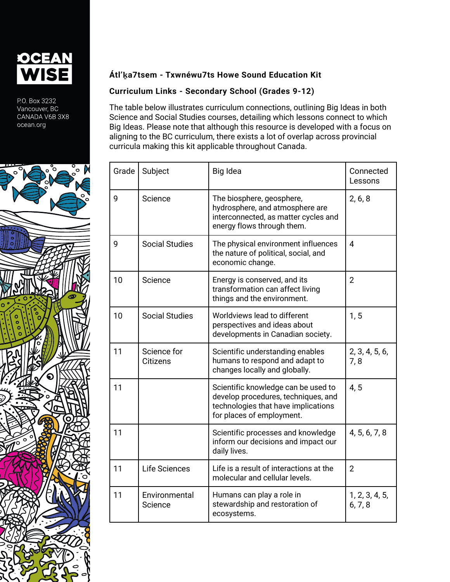

P.O. Box 3232 Vancouver, BC CANADA V6B 3X8 ocean.org



## **Átl'ḵa7tsem - Txwnéwu7ts Howe Sound Education Kit**

## **Curriculum Links - Secondary School (Grades 9-12)**

The table below illustrates curriculum connections, outlining Big Ideas in both Science and Social Studies courses, detailing which lessons connect to which Big Ideas. Please note that although this resource is developed with a focus on aligning to the BC curriculum, there exists a lot of overlap across provincial curricula making this kit applicable throughout Canada.

| Grade | Subject                        | Big Idea                                                                                                                                       | Connected<br>Lessons      |
|-------|--------------------------------|------------------------------------------------------------------------------------------------------------------------------------------------|---------------------------|
| 9     | Science                        | The biosphere, geosphere,<br>hydrosphere, and atmosphere are<br>interconnected, as matter cycles and<br>energy flows through them.             | 2, 6, 8                   |
| 9     | <b>Social Studies</b>          | The physical environment influences<br>the nature of political, social, and<br>economic change.                                                | 4                         |
| 10    | Science                        | Energy is conserved, and its<br>transformation can affect living<br>things and the environment.                                                | $\overline{2}$            |
| 10    | <b>Social Studies</b>          | Worldviews lead to different<br>perspectives and ideas about<br>developments in Canadian society.                                              | 1, 5                      |
| 11    | Science for<br><b>Citizens</b> | Scientific understanding enables<br>humans to respond and adapt to<br>changes locally and globally.                                            | 2, 3, 4, 5, 6,<br>7,8     |
| 11    |                                | Scientific knowledge can be used to<br>develop procedures, techniques, and<br>technologies that have implications<br>for places of employment. | 4, 5                      |
| 11    |                                | Scientific processes and knowledge<br>inform our decisions and impact our<br>daily lives.                                                      | 4, 5, 6, 7, 8             |
| 11    | Life Sciences                  | Life is a result of interactions at the<br>molecular and cellular levels.                                                                      | $\overline{2}$            |
| 11    | Environmental<br>Science       | Humans can play a role in<br>stewardship and restoration of<br>ecosystems.                                                                     | 1, 2, 3, 4, 5,<br>6, 7, 8 |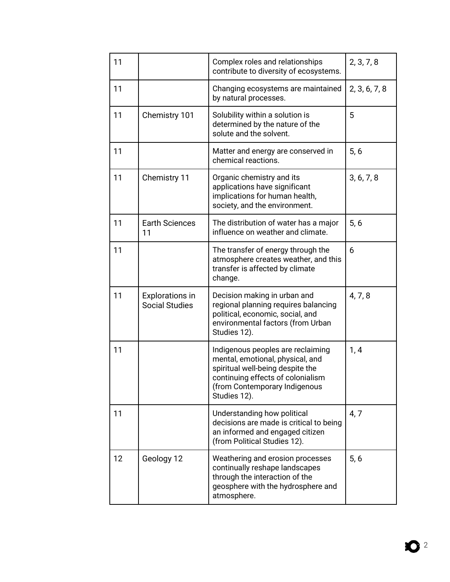| 11 |                                                 | Complex roles and relationships<br>contribute to diversity of ecosystems.                                                                                                                       | 2, 3, 7, 8    |
|----|-------------------------------------------------|-------------------------------------------------------------------------------------------------------------------------------------------------------------------------------------------------|---------------|
| 11 |                                                 | Changing ecosystems are maintained<br>by natural processes.                                                                                                                                     | 2, 3, 6, 7, 8 |
| 11 | Chemistry 101                                   | Solubility within a solution is<br>determined by the nature of the<br>solute and the solvent.                                                                                                   | 5             |
| 11 |                                                 | Matter and energy are conserved in<br>chemical reactions.                                                                                                                                       | 5, 6          |
| 11 | Chemistry 11                                    | Organic chemistry and its<br>applications have significant<br>implications for human health,<br>society, and the environment.                                                                   | 3, 6, 7, 8    |
| 11 | <b>Earth Sciences</b><br>11                     | The distribution of water has a major<br>influence on weather and climate.                                                                                                                      | 5, 6          |
| 11 |                                                 | The transfer of energy through the<br>atmosphere creates weather, and this<br>transfer is affected by climate<br>change.                                                                        | 6             |
| 11 | <b>Explorations in</b><br><b>Social Studies</b> | Decision making in urban and<br>regional planning requires balancing<br>political, economic, social, and<br>environmental factors (from Urban<br>Studies 12).                                   | 4, 7, 8       |
| 11 |                                                 | Indigenous peoples are reclaiming<br>mental, emotional, physical, and<br>spiritual well-being despite the<br>continuing effects of colonialism<br>(from Contemporary Indigenous<br>Studies 12). | 1, 4          |
| 11 |                                                 | Understanding how political<br>decisions are made is critical to being<br>an informed and engaged citizen<br>(from Political Studies 12).                                                       | 4, 7          |
| 12 | Geology 12                                      | Weathering and erosion processes<br>continually reshape landscapes<br>through the interaction of the<br>geosphere with the hydrosphere and<br>atmosphere.                                       | 5, 6          |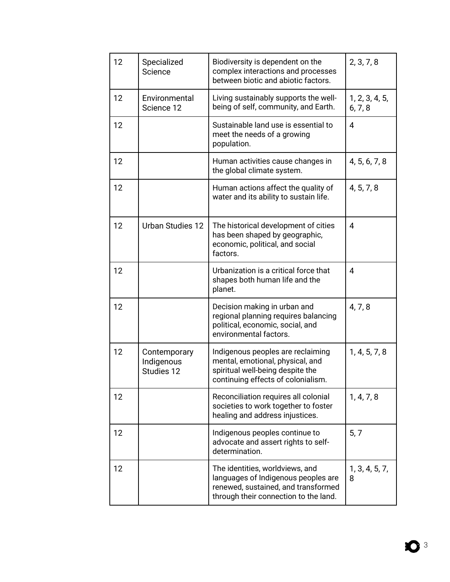| 12 | Specialized<br>Science                   | Biodiversity is dependent on the<br>complex interactions and processes<br>between biotic and abiotic factors.                                          | 2, 3, 7, 8                |
|----|------------------------------------------|--------------------------------------------------------------------------------------------------------------------------------------------------------|---------------------------|
| 12 | Environmental<br>Science 12              | Living sustainably supports the well-<br>being of self, community, and Earth.                                                                          | 1, 2, 3, 4, 5,<br>6, 7, 8 |
| 12 |                                          | Sustainable land use is essential to<br>meet the needs of a growing<br>population.                                                                     | 4                         |
| 12 |                                          | Human activities cause changes in<br>the global climate system.                                                                                        | 4, 5, 6, 7, 8             |
| 12 |                                          | Human actions affect the quality of<br>water and its ability to sustain life.                                                                          | 4, 5, 7, 8                |
| 12 | <b>Urban Studies 12</b>                  | The historical development of cities<br>has been shaped by geographic,<br>economic, political, and social<br>factors.                                  | 4                         |
| 12 |                                          | Urbanization is a critical force that<br>shapes both human life and the<br>planet.                                                                     | 4                         |
| 12 |                                          | Decision making in urban and<br>regional planning requires balancing<br>political, economic, social, and<br>environmental factors.                     | 4, 7, 8                   |
| 12 | Contemporary<br>Indigenous<br>Studies 12 | Indigenous peoples are reclaiming<br>mental, emotional, physical, and<br>spiritual well-being despite the<br>continuing effects of colonialism.        | 1, 4, 5, 7, 8             |
| 12 |                                          | Reconciliation requires all colonial<br>societies to work together to foster<br>healing and address injustices.                                        | 1, 4, 7, 8                |
| 12 |                                          | Indigenous peoples continue to<br>advocate and assert rights to self-<br>determination.                                                                | 5, 7                      |
| 12 |                                          | The identities, worldviews, and<br>languages of Indigenous peoples are<br>renewed, sustained, and transformed<br>through their connection to the land. | 1, 3, 4, 5, 7,<br>8       |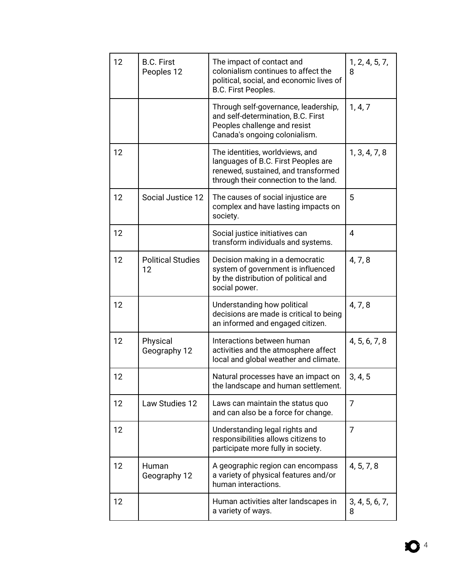| 12 | <b>B.C. First</b><br>Peoples 12 | The impact of contact and<br>colonialism continues to affect the<br>political, social, and economic lives of<br>B.C. First Peoples.                    | 1, 2, 4, 5, 7,<br>8 |
|----|---------------------------------|--------------------------------------------------------------------------------------------------------------------------------------------------------|---------------------|
|    |                                 | Through self-governance, leadership,<br>and self-determination, B.C. First<br>Peoples challenge and resist<br>Canada's ongoing colonialism.            | 1, 4, 7             |
| 12 |                                 | The identities, worldviews, and<br>languages of B.C. First Peoples are<br>renewed, sustained, and transformed<br>through their connection to the land. | 1, 3, 4, 7, 8       |
| 12 | Social Justice 12               | The causes of social injustice are<br>complex and have lasting impacts on<br>society.                                                                  | 5                   |
| 12 |                                 | Social justice initiatives can<br>transform individuals and systems.                                                                                   | 4                   |
| 12 | <b>Political Studies</b><br>12  | Decision making in a democratic<br>system of government is influenced<br>by the distribution of political and<br>social power.                         | 4, 7, 8             |
| 12 |                                 | Understanding how political<br>decisions are made is critical to being<br>an informed and engaged citizen.                                             | 4, 7, 8             |
| 12 | Physical<br>Geography 12        | Interactions between human<br>activities and the atmosphere affect<br>local and global weather and climate.                                            | 4, 5, 6, 7, 8       |
| 12 |                                 | Natural processes have an impact on<br>the landscape and human settlement.                                                                             | 3, 4, 5             |
| 12 | Law Studies 12                  | Laws can maintain the status quo<br>and can also be a force for change.                                                                                | $\overline{7}$      |
| 12 |                                 | Understanding legal rights and<br>responsibilities allows citizens to<br>participate more fully in society.                                            | $\overline{7}$      |
| 12 | Human<br>Geography 12           | A geographic region can encompass<br>a variety of physical features and/or<br>human interactions.                                                      | 4, 5, 7, 8          |
| 12 |                                 | Human activities alter landscapes in<br>a variety of ways.                                                                                             | 3, 4, 5, 6, 7,<br>8 |